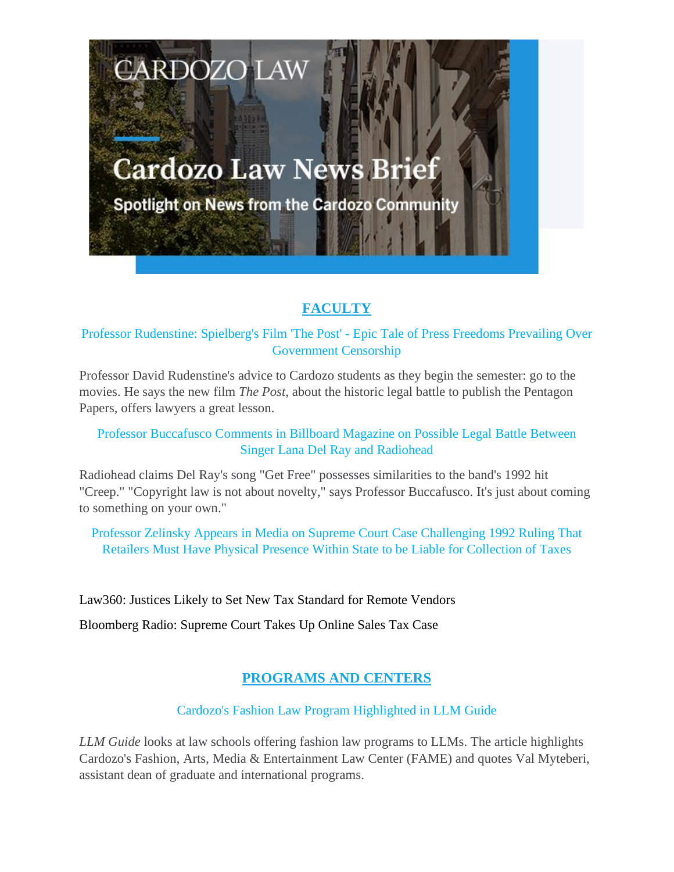# **Cardozo Law News Brief**

**CARDOZO LAW** 

Spotlight on News from the Cardozo Community

## **FACULTY**

Professor Rudenstine: Spielberg's Film 'The Post' - Epic Tale of Press Freedoms Prevailing Over Government Censorship

Professor David Rudenstine's advice to Cardozo students as they begin the semester: go to the movies. He says the new film *The Post*, about the historic legal battle to publish the Pentagon Papers, offers lawyers a great lesson.

#### Professor Buccafusco Comments in Billboard Magazine on Possible Legal Battle Between Singer Lana Del Ray and Radiohead

Radiohead claims Del Ray's song "Get Free" possesses similarities to the band's 1992 hit "Creep." "Copyright law is not about novelty," says Professor Buccafusco. It's just about coming to something on your own."

Professor Zelinsky Appears in Media on Supreme Court Case Challenging 1992 Ruling That Retailers Must Have Physical Presence Within State to be Liable for Collection of Taxes

Law360: Justices Likely to Set New Tax Standard for Remote Vendors

Bloomberg Radio: Supreme Court Takes Up Online Sales Tax Case

## **PROGRAMS AND CENTERS**

### Cardozo's Fashion Law Program Highlighted in LLM Guide

*LLM Guide* looks at law schools offering fashion law programs to LLMs. The article highlights Cardozo's Fashion, Arts, Media & Entertainment Law Center (FAME) and quotes Val Myteberi, assistant dean of graduate and international programs.